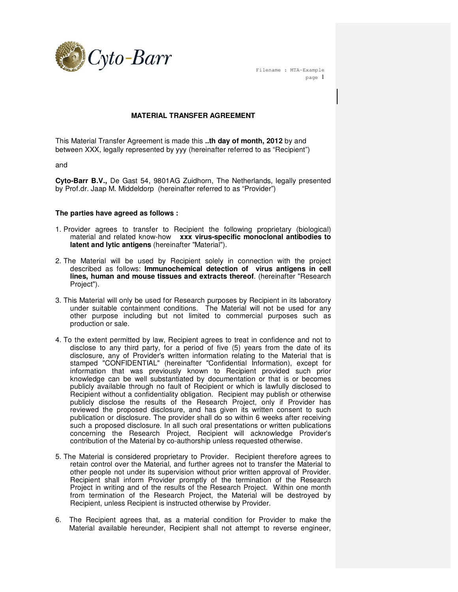

 Filename : MTA-Example page 1

## **MATERIAL TRANSFER AGREEMENT**

This Material Transfer Agreement is made this **..th day of month, 2012** by and between XXX, legally represented by yyy (hereinafter referred to as "Recipient")

and

**Cyto-Barr B.V.,** De Gast 54, 9801AG Zuidhorn, The Netherlands, legally presented by Prof.dr. Jaap M. Middeldorp (hereinafter referred to as "Provider")

## **The parties have agreed as follows :**

- 1. Provider agrees to transfer to Recipient the following proprietary (biological) material and related know-how **xxx virus-specific monoclonal antibodies to latent and lytic antigens** (hereinafter "Material").
- 2. The Material will be used by Recipient solely in connection with the project described as follows: **Immunochemical detection of virus antigens in cell lines, human and mouse tissues and extracts thereof**. (hereinafter "Research Project").
- 3. This Material will only be used for Research purposes by Recipient in its laboratory under suitable containment conditions. The Material will not be used for any other purpose including but not limited to commercial purposes such as production or sale.
- 4. To the extent permitted by law, Recipient agrees to treat in confidence and not to disclose to any third party, for a period of five (5) years from the date of its disclosure, any of Provider's written information relating to the Material that is stamped "CONFIDENTIAL" (hereinafter "Confidential Information), except for information that was previously known to Recipient provided such prior knowledge can be well substantiated by documentation or that is or becomes publicly available through no fault of Recipient or which is lawfully disclosed to Recipient without a confidentiality obligation. Recipient may publish or otherwise publicly disclose the results of the Research Project, only if Provider has reviewed the proposed disclosure, and has given its written consent to such publication or disclosure. The provider shall do so within 6 weeks after receiving such a proposed disclosure. In all such oral presentations or written publications concerning the Research Project, Recipient will acknowledge Provider's contribution of the Material by co-authorship unless requested otherwise.
- 5. The Material is considered proprietary to Provider. Recipient therefore agrees to retain control over the Material, and further agrees not to transfer the Material to other people not under its supervision without prior written approval of Provider. Recipient shall inform Provider promptly of the termination of the Research Project in writing and of the results of the Research Project. Within one month from termination of the Research Project, the Material will be destroyed by Recipient, unless Recipient is instructed otherwise by Provider.
- 6. The Recipient agrees that, as a material condition for Provider to make the Material available hereunder, Recipient shall not attempt to reverse engineer,